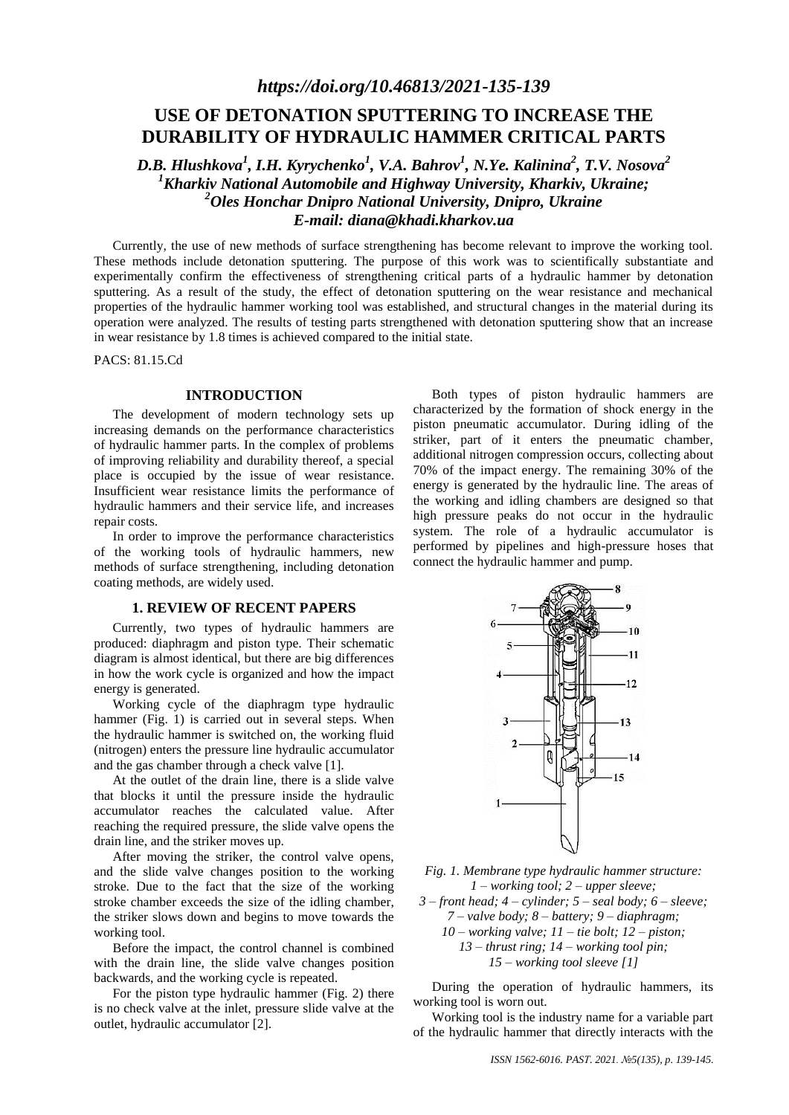# **USE OF DETONATION SPUTTERING TO INCREASE THE DURABILITY OF HYDRAULIC HAMMER CRITICAL PARTS**

*D.B. Hlushkova<sup>1</sup> , I.H. Kyrychenko<sup>1</sup> , V.A. Bahrov<sup>1</sup> , N.Ye. Kalinina<sup>2</sup> , T.V. Nosova<sup>2</sup> <sup>1</sup>Kharkiv National Automobile and Highway University, Kharkiv, Ukraine; <sup>2</sup>Oles Honchar Dnipro National University, Dnipro, Ukraine E-mail: [diana@khadi.kharkov.ua](mailto:diana@khadi.kharkov.ua)*

Currently, the use of new methods of surface strengthening has become relevant to improve the working tool. These methods include detonation sputtering. The purpose of this work was to scientifically substantiate and experimentally confirm the effectiveness of strengthening critical parts of a hydraulic hammer by detonation sputtering. As a result of the study, the effect of detonation sputtering on the wear resistance and mechanical properties of the hydraulic hammer working tool was established, and structural changes in the material during its operation were analyzed. The results of testing parts strengthened with detonation sputtering show that an increase in wear resistance by 1.8 times is achieved compared to the initial state.

PACS: 81.15.Cd

#### **INTRODUCTION**

The development of modern technology sets up increasing demands on the performance characteristics of hydraulic hammer parts. In the complex of problems of improving reliability and durability thereof, a special place is occupied by the issue of wear resistance. Insufficient wear resistance limits the performance of hydraulic hammers and their service life, and increases repair costs.

In order to improve the performance characteristics of the working tools of hydraulic hammers, new methods of surface strengthening, including detonation coating methods, are widely used.

## **1. REVIEW OF RECENT PAPERS**

Currently, two types of hydraulic hammers are produced: diaphragm and piston type. Their schematic diagram is almost identical, but there are big differences in how the work cycle is organized and how the impact energy is generated.

Working cycle of the diaphragm type hydraulic hammer (Fig. 1) is carried out in several steps. When the hydraulic hammer is switched on, the working fluid (nitrogen) enters the pressure line hydraulic accumulator and the gas chamber through a check valve [1].

At the outlet of the drain line, there is a slide valve that blocks it until the pressure inside the hydraulic accumulator reaches the calculated value. After reaching the required pressure, the slide valve opens the drain line, and the striker moves up.

After moving the striker, the control valve opens, and the slide valve changes position to the working stroke. Due to the fact that the size of the working stroke chamber exceeds the size of the idling chamber, the striker slows down and begins to move towards the working tool.

Before the impact, the control channel is combined with the drain line, the slide valve changes position backwards, and the working cycle is repeated.

For the piston type hydraulic hammer (Fig. 2) there is no check valve at the inlet, pressure slide valve at the outlet, hydraulic accumulator [2].

Both types of piston hydraulic hammers are characterized by the formation of shock energy in the piston pneumatic accumulator. During idling of the striker, part of it enters the pneumatic chamber, additional nitrogen compression occurs, collecting about 70% of the impact energy. The remaining 30% of the energy is generated by the hydraulic line. The areas of the working and idling chambers are designed so that high pressure peaks do not occur in the hydraulic system. The role of a hydraulic accumulator is performed by pipelines and high-pressure hoses that connect the hydraulic hammer and pump.



*Fig. 1. Membrane type hydraulic hammer structure: 1 – working tool; 2 – upper sleeve;* 

*3 – front head; 4 – cylinder; 5 – seal body; 6 – sleeve; 7 – valve body; 8 – battery; 9 – diaphragm; 10 – working valve; 11 – tie bolt; 12 – piston; 13 – thrust ring; 14 – working tool pin; 15 – working tool sleeve [1]*

During the operation of hydraulic hammers, its working tool is worn out.

Working tool is the industry name for a variable part of the hydraulic hammer that directly interacts with the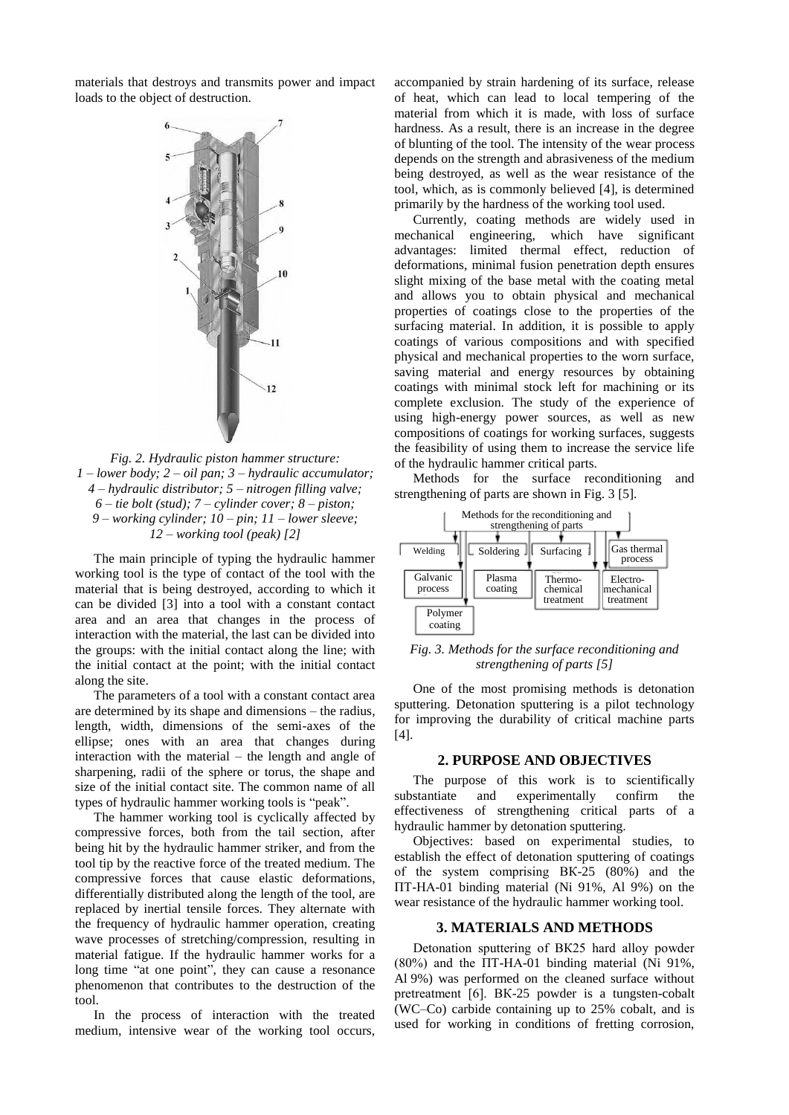materials that destroys and transmits power and impact loads to the object of destruction.



*Fig. 2. Hydraulic piston hammer structure: 1 – lower body; 2 – oil pan; 3 – hydraulic accumulator; 4 – hydraulic distributor; 5 – nitrogen filling valve; 6 – tie bolt (stud); 7 – cylinder cover; 8 – piston; 9 – working cylinder; 10 – pin; 11 – lower sleeve; 12 – working tool (peak) [2]*

The main principle of typing the hydraulic hammer working tool is the type of contact of the tool with the material that is being destroyed, according to which it can be divided [3] into a tool with a constant contact area and an area that changes in the process of interaction with the material, the last can be divided into the groups: with the initial contact along the line; with the initial contact at the point; with the initial contact along the site.

The parameters of a tool with a constant contact area are determined by its shape and dimensions – the radius, length, width, dimensions of the semi-axes of the ellipse; ones with an area that changes during interaction with the material – the length and angle of sharpening, radii of the sphere or torus, the shape and size of the initial contact site. The common name of all types of hydraulic hammer working tools is "peak".

The hammer working tool is cyclically affected by compressive forces, both from the tail section, after being hit by the hydraulic hammer striker, and from the tool tip by the reactive force of the treated medium. The compressive forces that cause elastic deformations, differentially distributed along the length of the tool, are replaced by inertial tensile forces. They alternate with the frequency of hydraulic hammer operation, creating wave processes of stretching/compression, resulting in material fatigue. If the hydraulic hammer works for a long time "at one point", they can cause a resonance phenomenon that contributes to the destruction of the tool.

In the process of interaction with the treated medium, intensive wear of the working tool occurs,

accompanied by strain hardening of its surface, release of heat, which can lead to local tempering of the material from which it is made, with loss of surface hardness. As a result, there is an increase in the degree of blunting of the tool. The intensity of the wear process depends on the strength and abrasiveness of the medium being destroyed, as well as the wear resistance of the tool, which, as is commonly believed [4], is determined primarily by the hardness of the working tool used.

Currently, coating methods are widely used in mechanical engineering, which have significant advantages: limited thermal effect, reduction of deformations, minimal fusion penetration depth ensures slight mixing of the base metal with the coating metal and allows you to obtain physical and mechanical properties of coatings close to the properties of the surfacing material. In addition, it is possible to apply coatings of various compositions and with specified physical and mechanical properties to the worn surface, saving material and energy resources by obtaining coatings with minimal stock left for machining or its complete exclusion. The study of the experience of using high-energy power sources, as well as new compositions of coatings for working surfaces, suggests the feasibility of using them to increase the service life of the hydraulic hammer critical parts.

Methods for the surface reconditioning and strengthening of parts are shown in Fig. 3 [5].



*Fig. 3. Methods for the surface reconditioning and strengthening of parts [5]*

One of the most promising methods is detonation sputtering. Detonation sputtering is a pilot technology for improving the durability of critical machine parts [4].

## **2. PURPOSE AND OBJECTIVES**

The purpose of this work is to scientifically substantiate and experimentally confirm the effectiveness of strengthening critical parts of a hydraulic hammer by detonation sputtering.

Objectives: based on experimental studies, to establish the effect of detonation sputtering of coatings of the system comprising ВК-25 (80%) and the ПТ-НА-01 binding material (Ni 91%, Al 9%) on the wear resistance of the hydraulic hammer working tool.

#### **3. MATERIALS AND METHODS**

Detonation sputtering of ВК25 hard alloy powder (80%) and the ПТ-НА-01 binding material (Ni 91%, Al 9%) was performed on the cleaned surface without pretreatment [6]. ВК-25 powder is a tungsten-cobalt (WC–Co) carbide containing up to 25% cobalt, and is used for working in conditions of fretting corrosion,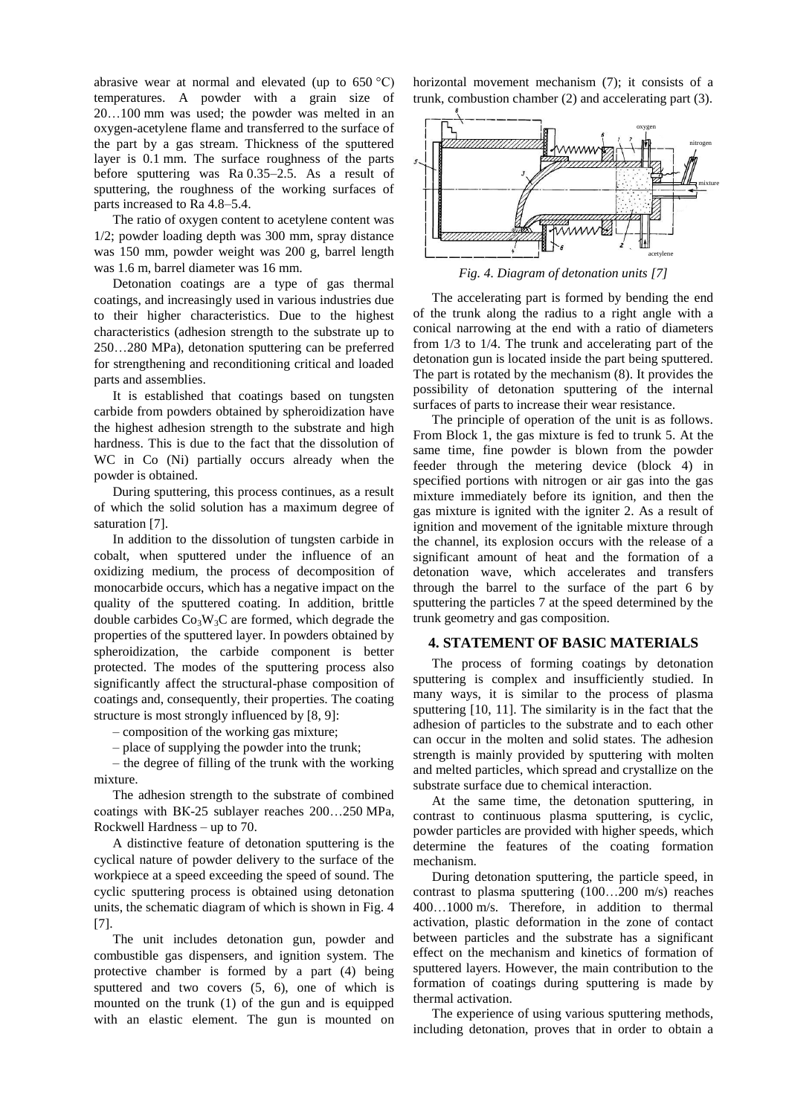abrasive wear at normal and elevated (up to  $650 °C$ ) temperatures. A powder with a grain size of 20…100 mm was used; the powder was melted in an oxygen-acetylene flame and transferred to the surface of the part by a gas stream. Thickness of the sputtered layer is 0.1 mm. The surface roughness of the parts before sputtering was Ra 0.35–2.5. As a result of sputtering, the roughness of the working surfaces of parts increased to Ra 4.8–5.4.

The ratio of oxygen content to acetylene content was 1/2; powder loading depth was 300 mm, spray distance was 150 mm, powder weight was 200 g, barrel length was 1.6 m, barrel diameter was 16 mm.

Detonation coatings are a type of gas thermal coatings, and increasingly used in various industries due to their higher characteristics. Due to the highest characteristics (adhesion strength to the substrate up to 250…280 MPa), detonation sputtering can be preferred for strengthening and reconditioning critical and loaded parts and assemblies.

It is established that coatings based on tungsten carbide from powders obtained by spheroidization have the highest adhesion strength to the substrate and high hardness. This is due to the fact that the dissolution of WC in Co (Ni) partially occurs already when the powder is obtained.

During sputtering, this process continues, as a result of which the solid solution has a maximum degree of saturation [7].

In addition to the dissolution of tungsten carbide in cobalt, when sputtered under the influence of an oxidizing medium, the process of decomposition of monocarbide occurs, which has a negative impact on the quality of the sputtered coating. In addition, brittle double carbides  $Co<sub>3</sub>W<sub>3</sub>C$  are formed, which degrade the properties of the sputtered layer. In powders obtained by spheroidization, the carbide component is better protected. The modes of the sputtering process also significantly affect the structural-phase composition of coatings and, consequently, their properties. The coating structure is most strongly influenced by [8, 9]:

– composition of the working gas mixture;

– place of supplying the powder into the trunk;

– the degree of filling of the trunk with the working mixture.

The adhesion strength to the substrate of combined coatings with ВК-25 sublayer reaches 200…250 MPa, Rockwell Hardness – up to 70.

A distinctive feature of detonation sputtering is the cyclical nature of powder delivery to the surface of the workpiece at a speed exceeding the speed of sound. The cyclic sputtering process is obtained using detonation units, the schematic diagram of which is shown in Fig. 4 [7].

The unit includes detonation gun, powder and combustible gas dispensers, and ignition system. The protective chamber is formed by a part (4) being sputtered and two covers (5, 6), one of which is mounted on the trunk (1) of the gun and is equipped with an elastic element. The gun is mounted on horizontal movement mechanism (7); it consists of a trunk, combustion chamber (2) and accelerating part (3).



*Fig. 4. Diagram of detonation units [7]*

The accelerating part is formed by bending the end of the trunk along the radius to a right angle with a conical narrowing at the end with a ratio of diameters from 1/3 to 1/4. The trunk and accelerating part of the detonation gun is located inside the part being sputtered. The part is rotated by the mechanism (8). It provides the possibility of detonation sputtering of the internal surfaces of parts to increase their wear resistance.

The principle of operation of the unit is as follows. From Block 1, the gas mixture is fed to trunk 5. At the same time, fine powder is blown from the powder feeder through the metering device (block 4) in specified portions with nitrogen or air gas into the gas mixture immediately before its ignition, and then the gas mixture is ignited with the igniter 2. As a result of ignition and movement of the ignitable mixture through the channel, its explosion occurs with the release of a significant amount of heat and the formation of a detonation wave, which accelerates and transfers through the barrel to the surface of the part 6 by sputtering the particles 7 at the speed determined by the trunk geometry and gas composition.

## **4. STATEMENT OF BASIC MATERIALS**

The process of forming coatings by detonation sputtering is complex and insufficiently studied. In many ways, it is similar to the process of plasma sputtering [10, 11]. The similarity is in the fact that the adhesion of particles to the substrate and to each other can occur in the molten and solid states. The adhesion strength is mainly provided by sputtering with molten and melted particles, which spread and crystallize on the substrate surface due to chemical interaction.

At the same time, the detonation sputtering, in contrast to continuous plasma sputtering, is cyclic, powder particles are provided with higher speeds, which determine the features of the coating formation mechanism.

During detonation sputtering, the particle speed, in contrast to plasma sputtering (100…200 m/s) reaches 400…1000 m/s. Therefore, in addition to thermal activation, plastic deformation in the zone of contact between particles and the substrate has a significant effect on the mechanism and kinetics of formation of sputtered layers. However, the main contribution to the formation of coatings during sputtering is made by thermal activation.

The experience of using various sputtering methods, including detonation, proves that in order to obtain a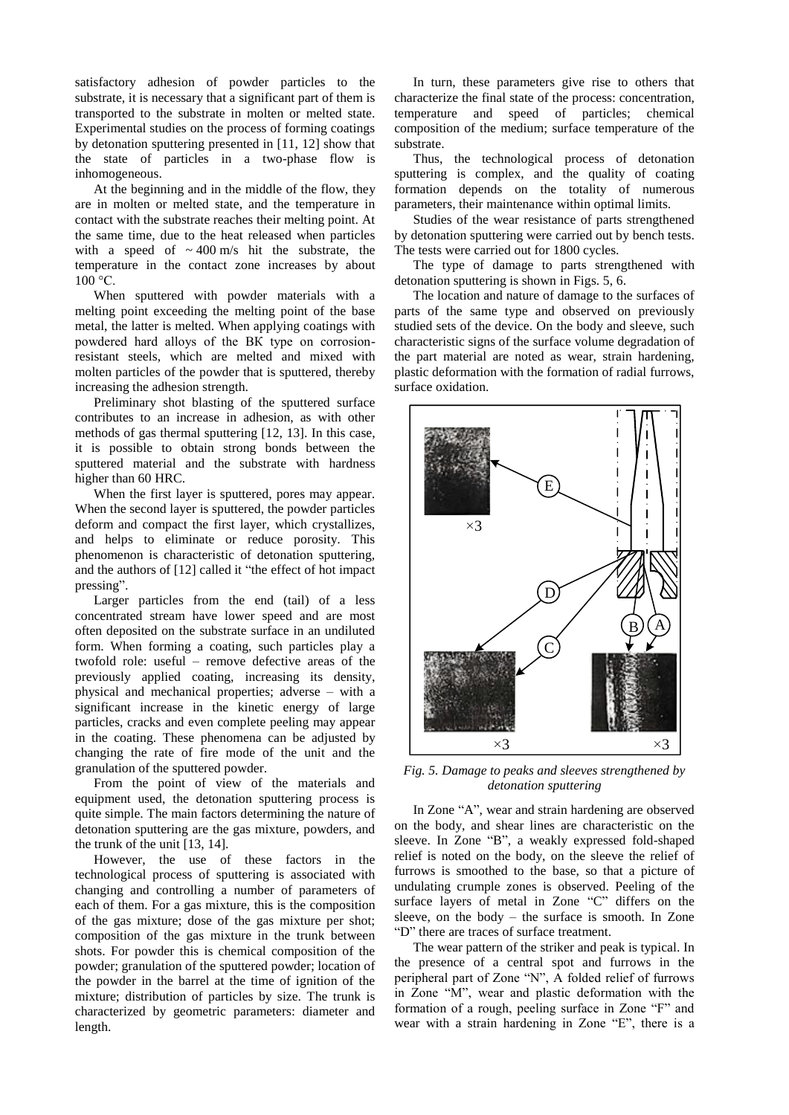satisfactory adhesion of powder particles to the substrate, it is necessary that a significant part of them is transported to the substrate in molten or melted state. Experimental studies on the process of forming coatings by detonation sputtering presented in [11, 12] show that the state of particles in a two-phase flow is inhomogeneous.

At the beginning and in the middle of the flow, they are in molten or melted state, and the temperature in contact with the substrate reaches their melting point. At the same time, due to the heat released when particles with a speed of  $\sim 400$  m/s hit the substrate, the temperature in the contact zone increases by about  $100 °C$ .

When sputtered with powder materials with a melting point exceeding the melting point of the base metal, the latter is melted. When applying coatings with powdered hard alloys of the ВК type on corrosionresistant steels, which are melted and mixed with molten particles of the powder that is sputtered, thereby increasing the adhesion strength.

Preliminary shot blasting of the sputtered surface contributes to an increase in adhesion, as with other methods of gas thermal sputtering [12, 13]. In this case, it is possible to obtain strong bonds between the sputtered material and the substrate with hardness higher than 60 HRC.

When the first layer is sputtered, pores may appear. When the second layer is sputtered, the powder particles deform and compact the first layer, which crystallizes, and helps to eliminate or reduce porosity. This phenomenon is characteristic of detonation sputtering, and the authors of [12] called it "the effect of hot impact pressing".

Larger particles from the end (tail) of a less concentrated stream have lower speed and are most often deposited on the substrate surface in an undiluted form. When forming a coating, such particles play a twofold role: useful – remove defective areas of the previously applied coating, increasing its density, physical and mechanical properties; adverse – with a significant increase in the kinetic energy of large particles, cracks and even complete peeling may appear in the coating. These phenomena can be adjusted by changing the rate of fire mode of the unit and the granulation of the sputtered powder.

From the point of view of the materials and equipment used, the detonation sputtering process is quite simple. The main factors determining the nature of detonation sputtering are the gas mixture, powders, and the trunk of the unit [13, 14].

However, the use of these factors in the technological process of sputtering is associated with changing and controlling a number of parameters of each of them. For a gas mixture, this is the composition of the gas mixture; dose of the gas mixture per shot; composition of the gas mixture in the trunk between shots. For powder this is chemical composition of the powder; granulation of the sputtered powder; location of the powder in the barrel at the time of ignition of the mixture; distribution of particles by size. The trunk is characterized by geometric parameters: diameter and length.

In turn, these parameters give rise to others that characterize the final state of the process: concentration, temperature and speed of particles; chemical composition of the medium; surface temperature of the substrate.

Thus, the technological process of detonation sputtering is complex, and the quality of coating formation depends on the totality of numerous parameters, their maintenance within optimal limits.

Studies of the wear resistance of parts strengthened by detonation sputtering were carried out by bench tests. The tests were carried out for 1800 cycles.

The type of damage to parts strengthened with detonation sputtering is shown in Figs. 5, 6.

The location and nature of damage to the surfaces of parts of the same type and observed on previously studied sets of the device. On the body and sleeve, such characteristic signs of the surface volume degradation of the part material are noted as wear, strain hardening, plastic deformation with the formation of radial furrows, surface oxidation.



*Fig. 5. Damage to peaks and sleeves strengthened by detonation sputtering*

In Zone "A", wear and strain hardening are observed on the body, and shear lines are characteristic on the sleeve. In Zone "B", a weakly expressed fold-shaped relief is noted on the body, on the sleeve the relief of furrows is smoothed to the base, so that a picture of undulating crumple zones is observed. Peeling of the surface layers of metal in Zone "C" differs on the sleeve, on the body – the surface is smooth. In Zone "D" there are traces of surface treatment.

The wear pattern of the striker and peak is typical. In the presence of a central spot and furrows in the peripheral part of Zone "N", A folded relief of furrows in Zone "M", wear and plastic deformation with the formation of a rough, peeling surface in Zone "F" and wear with a strain hardening in Zone "E", there is a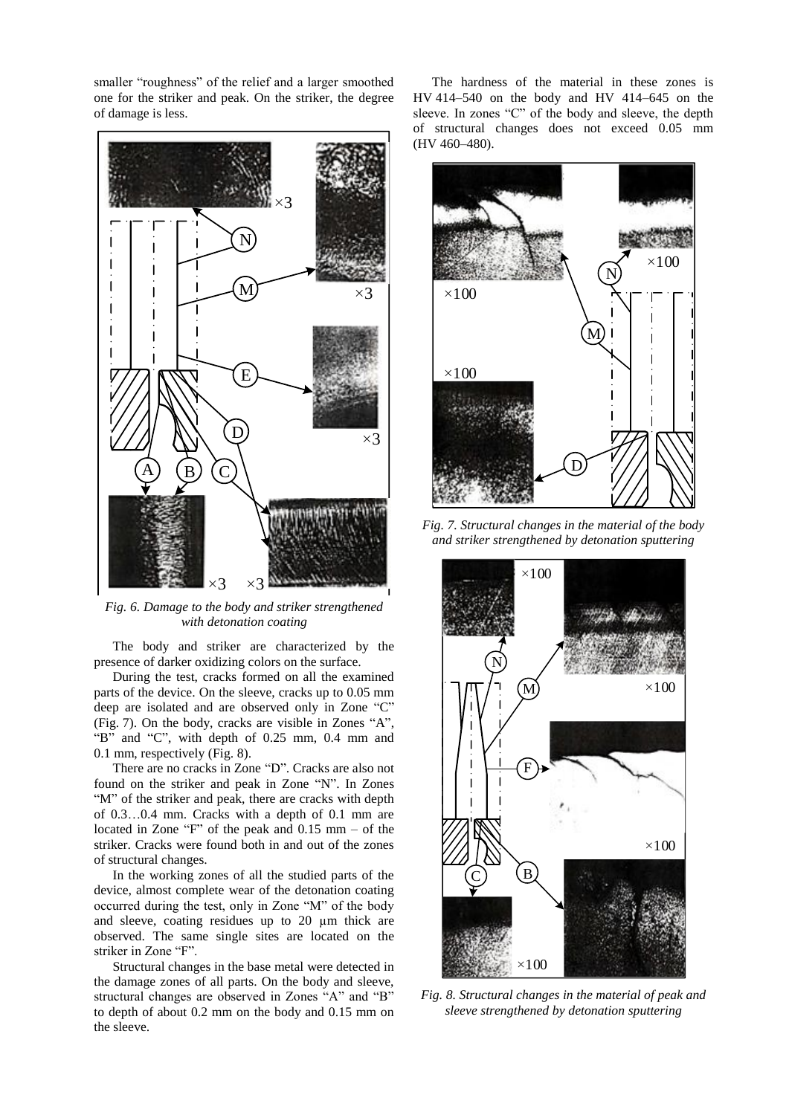smaller "roughness" of the relief and a larger smoothed one for the striker and peak. On the striker, the degree of damage is less.



*Fig. 6. Damage to the body and striker strengthened with detonation coating*

The body and striker are characterized by the presence of darker oxidizing colors on the surface.

During the test, cracks formed on all the examined parts of the device. On the sleeve, cracks up to 0.05 mm deep are isolated and are observed only in Zone "C" (Fig. 7). On the body, cracks are visible in Zones "A", "B" and "C", with depth of 0.25 mm, 0.4 mm and 0.1 mm, respectively (Fig. 8).

There are no cracks in Zone "D". Cracks are also not found on the striker and peak in Zone "N". In Zones "M" of the striker and peak, there are cracks with depth of 0.3…0.4 mm. Cracks with a depth of 0.1 mm are located in Zone "F" of the peak and 0.15 mm – of the striker. Cracks were found both in and out of the zones of structural changes.

In the working zones of all the studied parts of the device, almost complete wear of the detonation coating occurred during the test, only in Zone "M" of the body and sleeve, coating residues up to 20 µm thick are observed. The same single sites are located on the striker in Zone "F".

Structural changes in the base metal were detected in the damage zones of all parts. On the body and sleeve, structural changes are observed in Zones "A" and "B" to depth of about 0.2 mm on the body and 0.15 mm on the sleeve.

The hardness of the material in these zones is HV 414–540 on the body and HV 414–645 on the sleeve. In zones "C" of the body and sleeve, the depth of structural changes does not exceed 0.05 mm (HV 460–480).



*Fig. 7. Structural changes in the material of the body and striker strengthened by detonation sputtering*



*Fig. 8. Structural changes in the material of peak and sleeve strengthened by detonation sputtering*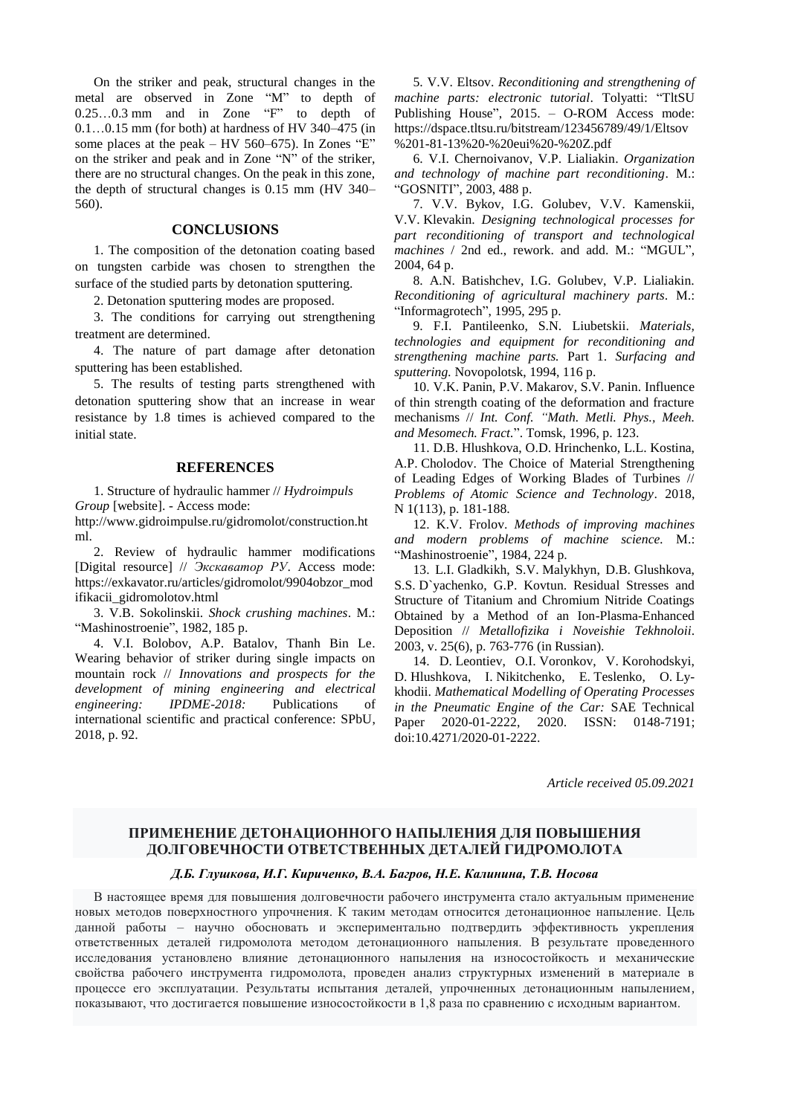On the striker and peak, structural changes in the metal are observed in Zone "M" to depth of 0.25…0.3 mm and in Zone "F" to depth of 0.1…0.15 mm (for both) at hardness of HV 340–475 (in some places at the peak – HV 560–675). In Zones "E" on the striker and peak and in Zone "N" of the striker, there are no structural changes. On the peak in this zone, the depth of structural changes is 0.15 mm (HV 340– 560).

#### **CONCLUSIONS**

1. The composition of the detonation coating based on tungsten carbide was chosen to strengthen the surface of the studied parts by detonation sputtering.

2. Detonation sputtering modes are proposed.

3. The conditions for carrying out strengthening treatment are determined.

4. The nature of part damage after detonation sputtering has been established.

5. The results of testing parts strengthened with detonation sputtering show that an increase in wear resistance by 1.8 times is achieved compared to the initial state.

#### **REFERENCES**

1. Structure of hydraulic hammer // *Hydroimpuls Group* [website]. - Access mode:

http://www.gidroimpulse.ru/gidromolot/construction.ht ml.

2. Review of hydraulic hammer modifications [Digital resource] // *Экскаватор РУ*. Access mode: https://exkavator.ru/articles/gidromolot/9904obzor\_mod ifikacii\_gidromolotov.html

3. V.B. Sokolinskii. *Shock crushing machines*. M.: "Mashinostroenie", 1982, 185 p.

4. V.I. Bolobov, A.P. Batalov, Thanh Bin Le. Wearing behavior of striker during single impacts on mountain rock // *Innovations and prospects for the development of mining engineering and electrical engineering: IPDME-2018:* Publications of international scientific and practical conference: SPbU, 2018, p. 92.

5. V.V. Eltsov. *Reconditioning and strengthening of machine parts: electronic tutorial*. Tolyatti: "TltSU Publishing House", 2015. – O-ROM Access mode: https://dspace.tltsu.ru/bitstream/123456789/49/1/Eltsov %201-81-13%20-%20eui%20-%20Z.pdf

6. V.I. Chernoivanov, V.P. Lialiakin. *Organization and technology of machine part reconditioning*. M.: "GOSNITI", 2003, 488 p.

7. V.V. Bykov, I.G. Golubev, V.V. Kamenskii, V.V. Klevakin. *Designing technological processes for part reconditioning of transport and technological machines* / 2nd ed., rework. and add. M.: "MGUL", 2004, 64 p.

8. A.N. Batishchev, I.G. Golubev, V.P. Lialiakin. *Reconditioning of agricultural machinery parts*. M.: "Informagrotech", 1995, 295 p.

9. F.I. Pantileenko, S.N. Liubetskii. *Materials, technologies and equipment for reconditioning and strengthening machine parts.* Part 1. *Surfacing and sputtering.* Novopolotsk, 1994, 116 p.

10. V.K. Panin, P.V. Makarov, S.V. Panin. Influence of thin strength coating of the deformation and fracture mechanisms // *Int. Conf. "Math. Metli. Phys., Meeh. and Mesomech. Fract.*". Tomsk, 1996, p. 123.

11. D.B. Hlushkova, O.D. Hrinchenko, L.L. Kostina, A.P. Cholodov. The Choice of Material Strengthening of Leading Edges of Working Blades of Turbines // *Problems of Atomic Science and Technology*. 2018, N 1(113), p. 181-188.

12. K.V. Frolov. *Methods of improving machines and modern problems of machine science.* M.: "Mashinostroenie", 1984, 224 p.

13. L.I. Gladkikh, S.V. Malykhyn, D.B. Glushkova, S.S. D`yachenko, G.P. Kovtun. Residual Stresses and Structure of Titanium and Chromium Nitride Coatings Obtained by a Method of an Ion-Plasma-Enhanced Deposition // *Metallofizika i Noveishie Tekhnoloii*. 2003, v. 25(6), p. 763-776 (in Russian).

14. D. Leontiev, O.I. Voronkov, V. Korohodskyi, D. Hlushkova, I. Nikitchenko, E. Teslenko, O. Lykhodii. *Mathematical Modelling of Operating Processes in the Pneumatic Engine of the Car:* SAE Technical Paper 2020-01-2222, 2020. ISSN: 0148-7191; doi:10.4271/2020-01-2222.

*Article received 05.09.2021*

# **ПРИМЕНЕНИЕ ДЕТОНАЦИОННОГО НАПЫЛЕНИЯ ДЛЯ ПОВЫШЕНИЯ ДОЛГОВЕЧНОСТИ ОТВЕТСТВЕННЫХ ДЕТАЛЕЙ ГИДРОМОЛОТА**

### *Д.Б. Глушкова, И.Г. Кириченко, В.А. Багров, Н.Е. Калинина, Т.В. Носова*

В настоящее время для повышения долговечности рабочего инструмента стало актуальным применение новых методов поверхностного упрочнения. К таким методам относится детонационное напыление. Цель данной работы – научно обосновать и экспериментально подтвердить эффективность укрепления ответственных деталей гидромолота методом детонационного напыления. В результате проведенного исследования установлено влияние детонационного напыления на износостойкость и механические свойства рабочего инструмента гидромолота, проведен анализ структурных изменений в материале в процессе его эксплуатации. Результаты испытания деталей, упрочненных детонационным напылением, показывают, что достигается повышение износостойкости в 1,8 раза по сравнению с исходным вариантом.